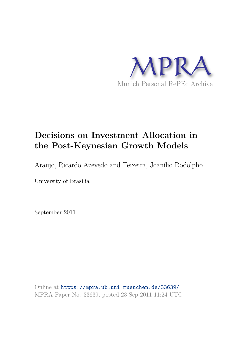

# **Decisions on Investment Allocation in the Post-Keynesian Growth Models**

Araujo, Ricardo Azevedo and Teixeira, Joanílio Rodolpho

University of Brasília

September 2011

Online at https://mpra.ub.uni-muenchen.de/33639/ MPRA Paper No. 33639, posted 23 Sep 2011 11:24 UTC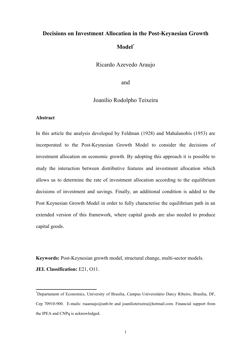# Decisions on Investment Allocation in the Post-Keynesian Growth Model<sup>\*</sup>

Ricardo Azevedo Araujo

and

# Joanilio Rodolpho Teixeira

## **Abstract**

In this article the analysis developed by Feldman (1928) and Mahalanobis (1953) are incorporated to the Post-Keynesian Growth Model to consider the decisions of investment allocation on economic growth. By adopting this approach it is possible to study the interaction between distributive features and investment allocation which allows us to determine the rate of investment allocation according to the equilibrium decisions of investment and savings. Finally, an additional condition is added to the Post Keynesian Growth Model in order to fully characterise the equilibrium path in an extended version of this framework, where capital goods are also needed to produce capital goods.

Keywords: Post-Keynesian growth model, structural change, multi-sector models. JEL Classification: E21, O11.

<sup>\*</sup>Departament of Economics, University of Brasilia, Campus Universitário Darcy Ribeiro, Brasília, DF, Cep 70910-900. E-mails: rsaaraujo@unb.br and joanilioteixeira@hotmail.com. Financial support from the IPEA and CNPq is acknowledged.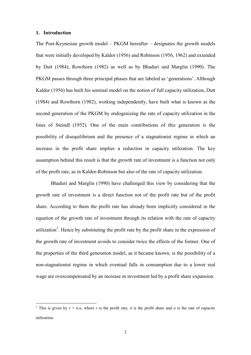## 1. Introduction

The Post-Keynesian growth model  $-$  PKGM hereafter  $-$  designates the growth models that were initially developed by Kaldor (1956) and Robinson (1956, 1962) and extended by Dutt (1984), Rowthorn (1982) as well as by Bhaduri and Marglin (1990). The PKGM passes through three principal phases that are labeled as 'generations'. Although Kaldor (1956) has built his seminal model on the notion of full capacity utilization, Dutt (1984) and Rowthorn (1982), working independently, have built what is known as the second generation of the PKGM by endogenizing the rate of capacity utilization in the lines of Steindl (1952). One of the main contributions of this generation is the possibility of disequilibrium and the presence of a stagnationist regime in which an increase in the profit share implies a reduction in capacity utilization. The key assumption behind this result is that the growth rate of investment is a function not only of the profit rate, as in Kaldor-Robinson but also of the rate of capacity utilization.

Bhaduri and Marglin (1990) have challenged this view by considering that the growth rate of investment is a direct function not of the profit rate but of the profit share. According to them the profit rate has already been implicitly considered in the equation of the growth rate of investment through its relation with the rate of capacity utilization<sup>1</sup>. Hence by substituting the profit rate by the profit share in the expression of the growth rate of investment avoids to consider twice the effects of the former. One of the properties of the third generation model, as it became known, is the possibility of a non-stagnationist regime in which eventual falls in consumption due to a lower real wage are overcompensated by an increase in investment led by a profit share expansion.

<sup>&</sup>lt;sup>1</sup> This is given by  $r = \pi u$ , where r is the profit rate,  $\pi$  is the profit share and u is the rate of capacity utilization.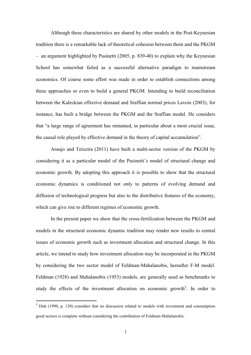Although these characteristics are shared by other models in the Post-Keynesian tradition there is a remarkable lack of theoretical cohesion between them and the PKGM  $-$  an argument highlighted by Pasinetti (2005, p. 839-40) to explain why the Keynesian School has somewhat failed as a successful alternative paradigm to mainstream economics. Of course some effort was made in order to establish connections among these approaches or even to build a general PKGM. Intending to build reconciliation between the Kaleckian effective demand and Sraffian normal prices Lavoie (2003), for instance, has built a bridge between the PKGM and the Sraffian model. He considers that "a large range of agreement has remained, in particular about a most crucial issue, the causal role played by effective demand in the theory of capital accumulation".

Araujo and Teixeira (2011) have built a multi-sector version of the PKGM by considering it as a particular model of the Pasinetti's model of structural change and economic growth. By adopting this approach it is possible to show that the structural economic dynamics is conditioned not only to patterns of evolving demand and diffusion of technological progress but also to the distributive features of the economy, which can give rise to different regimes of economic growth.

In the present paper we show that the cross-fertilization between the PKGM and models in the structural economic dynamic tradition may render new results to central issues of economic growth such as investment allocation and structural change. In this article, we intend to study how investment allocation may be incorporated in the PKGM by considering the two sector model of Feldman-Mahalanobis, hereafter F-M model. Feldman (1928) and Mahalanobis (1953) models, are generally used as benchmarks to study the effects of the investment allocation on economic growth<sup>2</sup>. In order to

 $2$  Dutt (1990, p. 120) considers that no discussion related to models with investment and consumption good sectors is complete without considering the contribution of Feldman-Mahalanobis.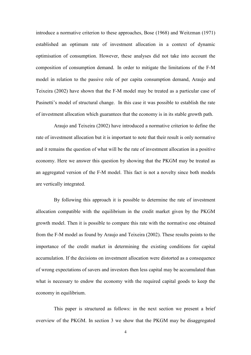introduce a normative criterion to these approaches, Bose (1968) and Weitzman (1971) established an optimum rate of investment allocation in a context of dynamic optimisation of consumption. However, these analyses did not take into account the composition of consumption demand. In order to mitigate the limitations of the F-M model in relation to the passive role of per capita consumption demand, Araujo and Teixeira (2002) have shown that the F-M model may be treated as a particular case of Pasinetti's model of structural change. In this case it was possible to establish the rate of investment allocation which guarantees that the economy is in its stable growth path.

Araujo and Teixeira (2002) have introduced a normative criterion to define the rate of investment allocation but it is important to note that their result is only normative and it remains the question of what will be the rate of investment allocation in a positive economy. Here we answer this question by showing that the PKGM may be treated as an aggregated version of the F-M model. This fact is not a novelty since both models are vertically integrated.

By following this approach it is possible to determine the rate of investment allocation compatible with the equilibrium in the credit market given by the PKGM growth model. Then it is possible to compare this rate with the normative one obtained from the F-M model as found by Araujo and Teixeira (2002). These results points to the importance of the credit market in determining the existing conditions for capital accumulation. If the decisions on investment allocation were distorted as a consequence of wrong expectations of savers and investors then less capital may be accumulated than what is necessary to endow the economy with the required capital goods to keep the economy in equilibrium.

This paper is structured as follows: in the next section we present a brief overview of the PKGM. In section 3 we show that the PKGM may be disaggregated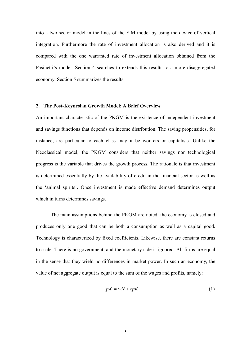into a two sector model in the lines of the F-M model by using the device of vertical integration. Furthermore the rate of investment allocation is also derived and it is compared with the one warranted rate of investment allocation obtained from the Pasinetti's model. Section 4 searches to extends this results to a more disaggregated economy. Section 5 summarizes the results.

## 2. The Post-Keynesian Growth Model: A Brief Overview

An important characteristic of the PKGM is the existence of independent investment and savings functions that depends on income distribution. The saving propensities, for instance, are particular to each class may it be workers or capitalists. Unlike the Neoclassical model, the PKGM considers that neither savings nor technological progress is the variable that drives the growth process. The rationale is that investment is determined essentially by the availability of credit in the financial sector as well as the 'animal spirits'. Once investment is made effective demand determines output which in turns determines savings.

The main assumptions behind the PKGM are noted: the economy is closed and produces only one good that can be both a consumption as well as a capital good. Technology is characterized by fixed coefficients. Likewise, there are constant returns to scale. There is no government, and the monetary side is ignored. All firms are equal in the sense that they wield no differences in market power. In such an economy, the value of net aggregate output is equal to the sum of the wages and profits, namely:

$$
pX = wN + rpK\tag{1}
$$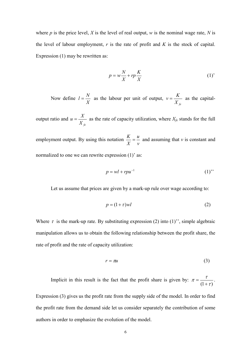where p is the price level, X is the level of real output, w is the nominal wage rate, N is the level of labour employment,  $r$  is the rate of profit and  $K$  is the stock of capital. Expression  $(1)$  may be rewritten as:

$$
p = w\frac{N}{X} + rp\frac{K}{X}
$$
 (1)

Now define  $l = \frac{N}{X}$  as the labour per unit of output,  $v = \frac{K}{X e}$  as the capital-

output ratio and  $u = \frac{X}{X_c}$  as the rate of capacity utilization, where  $X_{fe}$  stands for the full

employment output. By using this notation  $\frac{K}{X} = \frac{u}{v}$  and assuming that v is constant and normalized to one we can rewrite expression (1)' as:

$$
p = wl + rpu^{-1} \tag{1}
$$

Let us assume that prices are given by a mark-up rule over wage according to:

$$
p = (1 + \tau)wl \tag{2}
$$

Where  $\tau$  is the mark-up rate. By substituting expression (2) into (1)", simple algebraic manipulation allows us to obtain the following relationship between the profit share, the rate of profit and the rate of capacity utilization:

$$
r = \pi u \tag{3}
$$

Implicit in this result is the fact that the profit share is given by:  $\pi = \frac{\tau}{(1+\tau)}$ .

Expression (3) gives us the profit rate from the supply side of the model. In order to find the profit rate from the demand side let us consider separately the contribution of some authors in order to emphasize the evolution of the model.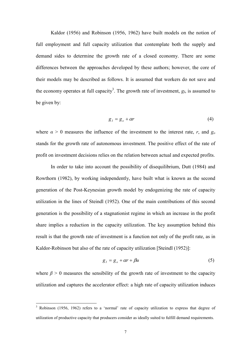Kaldor (1956) and Robinson (1956, 1962) have built models on the notion of full employment and full capacity utilization that contemplate both the supply and demand sides to determine the growth rate of a closed economy. There are some differences between the approaches developed by these authors; however, the core of their models may be described as follows. It is assumed that workers do not save and the economy operates at full capacity<sup>3</sup>. The growth rate of investment,  $g_l$ , is assumed to be given by:

$$
g_I = g_o + \alpha r \tag{4}
$$

where  $\alpha > 0$  measures the influence of the investment to the interest rate, r, and  $g_0$ stands for the growth rate of autonomous investment. The positive effect of the rate of profit on investment decisions relies on the relation between actual and expected profits.

In order to take into account the possibility of disequilibrium, Dutt (1984) and Rowthorn (1982), by working independently, have built what is known as the second generation of the Post-Keynesian growth model by endogenizing the rate of capacity utilization in the lines of Steindl (1952). One of the main contributions of this second generation is the possibility of a stagnation ist regime in which an increase in the profit share implies a reduction in the capacity utilization. The key assumption behind this result is that the growth rate of investment is a function not only of the profit rate, as in Kaldor-Robinson but also of the rate of capacity utilization [Steindl (1952)]:

$$
g_I = g_o + \alpha r + \beta u \tag{5}
$$

where  $\beta > 0$  measures the sensibility of the growth rate of investment to the capacity utilization and captures the accelerator effect: a high rate of capacity utilization induces

<sup>&</sup>lt;sup>3</sup> Robinson (1956, 1962) refers to a 'normal' rate of capacity utilization to express that degree of utilization of productive capacity that producers consider as ideally suited to fulfill demand requirements.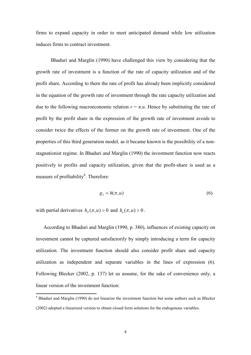firms to expand capacity in order to meet anticipated demand while low utilization induces firms to contract investment.

Bhaduri and Marglin (1990) have challenged this view by considering that the growth rate of investment is a function of the rate of capacity utilization and of the profit share. According to them the rate of profit has already been implicitly considered in the equation of the growth rate of investment through the rate capacity utilization and due to the following macroeconomic relation  $r = \pi u$ . Hence by substituting the rate of profit by the profit share in the expression of the growth rate of investment avoids to consider twice the effects of the former on the growth rate of investment. One of the properties of this third generation model, as it became known is the possibility of a nonstagnationist regime. In Bhaduri and Marglin (1990) the investment function now reacts positively to profits and capacity utilization, given that the profit-share is used as a measure of profitability<sup>4</sup>. Therefore:

$$
g_{\scriptscriptstyle I} = h(\pi, u) \tag{6}
$$

with partial derivatives  $h_{\tau}(\pi, u) > 0$  and  $h_{\tau}(\pi, u) > 0$ .

According to Bhaduri and Marglin (1990, p. 380), influences of existing capacity on investment cannot be captured satisfactorily by simply introducing a term for capacity utilization. The investment function should also consider profit share and capacity utilization as independent and separate variables in the lines of expression (6). Following Blecker (2002, p. 137) let us assume, for the sake of convenience only, a linear version of the investment function.

 $4$  Bhaduri and Marglin (1990) do not linearize the investment function but some authors such as Blecker (2002) adopted a linearized version to obtain closed form solutions for the endogenous variables.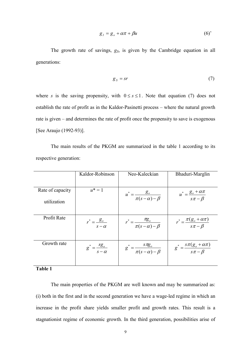$$
g_{\scriptscriptstyle I} = g_{\scriptscriptstyle o} + \alpha \pi + \beta u \tag{6'}
$$

The growth rate of savings,  $g_S$ , is given by the Cambridge equation in all generations:

$$
g_{S} = sr \tag{7}
$$

where s is the saving propensity, with  $0 \leq s \leq 1$ . Note that equation (7) does not establish the rate of profit as in the Kaldor-Pasinetti process – where the natural growth rate is given – and determines the rate of profit once the propensity to save is exogenous [See Araujo (1992-93)].

The main results of the PKGM are summarized in the table 1 according to its respective generation:

|                                 | Kaldor-Robinson                              | Neo-Kaleckian                                         | Bhaduri-Marglin                                      |
|---------------------------------|----------------------------------------------|-------------------------------------------------------|------------------------------------------------------|
| Rate of capacity<br>utilization | $u^* = 1$                                    | $u^* = \frac{g_o}{\pi (s - \alpha) - \beta}$          | $u^* = \frac{g_o + \alpha \pi}{s \pi - \beta}$       |
| Profit Rate                     | $r^* = \frac{g_o}{\sqrt{g}}$<br>$s - \alpha$ | $r^* = \frac{n g_o}{\pi (s - \alpha) - \beta}$        | $r^* = \frac{\pi (g_o + \alpha \pi)}{s \pi - \beta}$ |
| Growth rate                     | $g^* = \frac{sg_0}{s - \alpha}$              | $g^* = \frac{g^* g_\theta}{\pi (s - \alpha) - \beta}$ | $g^* = \frac{s\pi(g_o + \alpha\pi)}{s\pi - \beta}$   |

Table 1

The main properties of the PKGM are well known and may be summarized as: (i) both in the first and in the second generation we have a wage-led regime in which an increase in the profit share yields smaller profit and growth rates. This result is a stagnationist regime of economic growth. In the third generation, possibilities arise of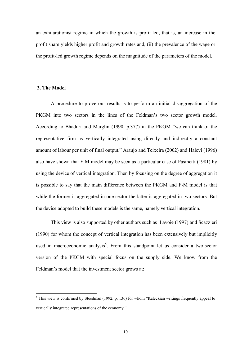an exhilarationist regime in which the growth is profit-led, that is, an increase in the profit share yields higher profit and growth rates and, (ii) the prevalence of the wage or the profit-led growth regime depends on the magnitude of the parameters of the model.

#### 3. The Model

A procedure to prove our results is to perform an initial disaggregation of the PKGM into two sectors in the lines of the Feldman's two sector growth model. According to Bhaduri and Marglin (1990, p.377) in the PKGM "we can think of the representative firm as vertically integrated using directly and indirectly a constant amount of labour per unit of final output." Araujo and Teixeira (2002) and Halevi (1996) also have shown that F-M model may be seen as a particular case of Pasinetti (1981) by using the device of vertical integration. Then by focusing on the degree of aggregation it is possible to say that the main difference between the PKGM and F-M model is that while the former is aggregated in one sector the latter is aggregated in two sectors. But the device adopted to build these models is the same, namely vertical integration.

This view is also supported by other authors such as Lavoie (1997) and Scazzieri (1990) for whom the concept of vertical integration has been extensively but implicitly used in macroeconomic analysis<sup>5</sup>. From this standpoint let us consider a two-sector version of the PKGM with special focus on the supply side. We know from the Feldman's model that the investment sector grows at:

<sup>&</sup>lt;sup>5</sup> This view is confirmed by Steedman (1992, p. 136) for whom "Kaleckian writings frequently appeal to vertically integrated representations of the economy."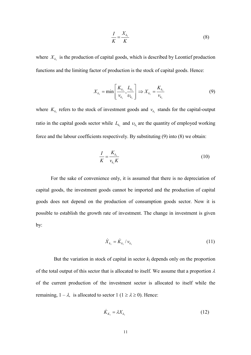$$
\frac{I}{K} = \frac{X_{k_1}}{K} \tag{8}
$$

where  $X_{k_1}$  is the production of capital goods, which is described by Leontief production functions and the limiting factor of production is the stock of capital goods. Hence:

$$
X_{k_1} = \min\left[\frac{K_{k_1}}{v_{k_1}}, \frac{L_{k_1}}{v_{k_1}}\right] \Rightarrow X_{k_1} = \frac{K_{k_1}}{v_{k_1}}
$$
(9)

where  $K_{k_1}$  refers to the stock of investment goods and  $v_{k_1}$  stands for the capital-output ratio in the capital goods sector while  $L_{k_1}$  and  $v_{k_1}$  are the quantity of employed working force and the labour coefficients respectively. By substituting (9) into (8) we obtain:

$$
\frac{I}{K} = \frac{K_{k_1}}{v_{k_1}K}
$$
\n<sup>(10)</sup>

For the sake of convenience only, it is assumed that there is no depreciation of capital goods, the investment goods cannot be imported and the production of capital goods does not depend on the production of consumption goods sector. Now it is possible to establish the growth rate of investment. The change in investment is given by:

$$
\dot{X}_{k_1} = \dot{K}_{k_1} / \nu_{k_1} \tag{11}
$$

But the variation in stock of capital in sector  $k_1$  depends only on the proportion of the total output of this sector that is allocated to itself. We assume that a proportion  $\lambda$ of the current production of the investment sector is allocated to itself while the remaining,  $1 - \lambda$ , is allocated to sector  $1 (1 \ge \lambda \ge 0)$ . Hence:

$$
\dot{K}_{K_1} = \lambda X_{K_1} \tag{12}
$$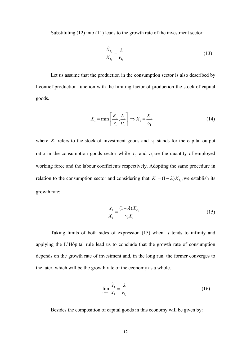Substituting  $(12)$  into  $(11)$  leads to the growth rate of the investment sector:

$$
\frac{X_{k_1}}{X_{k_1}} = \frac{\lambda}{v_{k_1}}
$$
\n(13)

Let us assume that the production in the consumption sector is also described by Leontief production function with the limiting factor of production the stock of capital goods.

$$
X_1 = \min\left[\frac{K_1}{\nu_1}, \frac{L_1}{\nu_1}\right] \Rightarrow X_1 = \frac{K_1}{\nu_1}
$$
\n(14)

where  $K_1$  refers to the stock of investment goods and  $v_1$  stands for the capital-output ratio in the consumption goods sector while  $L_1$  and  $v_1$  are the quantity of employed working force and the labour coefficients respectively. Adopting the same procedure in relation to the consumption sector and considering that  $\dot{K}_1 = (1 - \lambda)X_{k_1}$ , we establish its growth rate:

$$
\frac{\dot{X}_1}{X_1} = \frac{(1 - \lambda)X_{k_1}}{v_1 X_1}
$$
\n(15)

Taking limits of both sides of expression  $(15)$  when t tends to infinity and applying the L'Hôpital rule lead us to conclude that the growth rate of consumption depends on the growth rate of investment and, in the long run, the former converges to the later, which will be the growth rate of the economy as a whole.

$$
\lim_{t \to \infty} \frac{\dot{X}_1}{X_1} = \frac{\lambda}{\nu_{k_1}}
$$
\n(16)

Besides the composition of capital goods in this economy will be given by: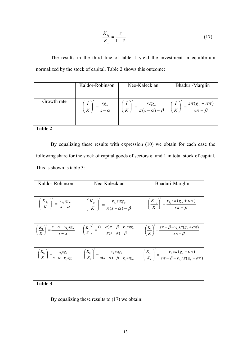$$
\frac{K_{k_1}}{K_1} = \frac{\lambda}{1 - \lambda} \tag{17}
$$

The results in the third line of table 1 yield the investment in equilibrium normalized by the stock of capital. Table 2 shows this outcome:

|             | Kaldor-Robinson | Neo-Kaleckian                   | Bhaduri-Marglin         |
|-------------|-----------------|---------------------------------|-------------------------|
| Growth rate | sg <sub>o</sub> | $S \pi g_o$                     | $s\pi(g_o + \alpha\pi)$ |
|             | $\overline{K}$  | $-\frac{}{\pi(s-\alpha)-\beta}$ | $\overline{s\pi-\beta}$ |
|             | $s - \alpha$    | K                               | $K_{\perp}$             |

#### **%-\$**

By equalizing these results with expression  $(10)$  we obtain for each case the following share for the stock of capital goods of sectors  $k_1$  and 1 in total stock of capital. This is shown is table 3:

| Kaldor-Robinson | Neo-Kaleckian                                                                                                                                                                                                                                                                                              | Bhaduri-Marglin                                                                                                                                                                                                                                                                                                                                       |
|-----------------|------------------------------------------------------------------------------------------------------------------------------------------------------------------------------------------------------------------------------------------------------------------------------------------------------------|-------------------------------------------------------------------------------------------------------------------------------------------------------------------------------------------------------------------------------------------------------------------------------------------------------------------------------------------------------|
|                 | $\left(\frac{K_{k_1}}{K}\right)^* = \frac{v_{k_1} s g_{o}}{s - \alpha}$ $\left(\frac{K_{k_1}}{K}\right)^* = \frac{v_{k_1} s \pi g_{o}}{\pi (s - \alpha) - \beta}$ $\left(\frac{K_{k_1}}{K}\right)^* = \frac{v_{k_1} s \pi (g_{o} + \alpha \pi)}{s \pi - \beta}$                                            |                                                                                                                                                                                                                                                                                                                                                       |
|                 | $\left(\frac{K_1}{K}\right)^{s} = \frac{s - \alpha - v_{k_1} s g_o}{s - \alpha}$ $\left(\frac{K_1}{K}\right)^{s} = \frac{(s - \alpha)\pi - \beta - v_{k_1} s \pi g_o}{\pi (s - \alpha) - \beta}$ $\left(\frac{K_1}{K}\right)^{s} = \frac{s \pi - \beta - v_{k_1} s \pi (g_o + \alpha \pi)}{s \pi - \beta}$ |                                                                                                                                                                                                                                                                                                                                                       |
|                 |                                                                                                                                                                                                                                                                                                            | $\left(\frac{K_{k_1}}{K_1}\right)^{\sim} = \frac{v_{k_1} s g_o}{s - \alpha - v_{k_1} s g_o}$ $\left(\frac{K_{k_1}}{K_1}\right)^{\sim} = \frac{v_{k_1} s \pi g_o}{\pi (s - \alpha) - \beta - v_{k_1} s \pi g_o}$ $\left(\frac{K_{k_1}}{K_1}\right)^{\sim} = \frac{v_{k_1} s \pi (g_o + \alpha \pi)}{s \pi - \beta - v_{k_1} s \pi (g_o + \alpha \pi)}$ |

## **%-(**

By equalizing these results to  $(17)$  we obtain: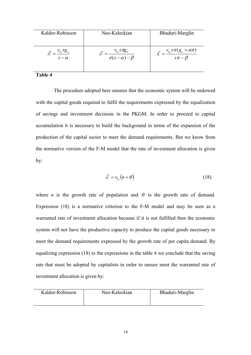| Kaldor-Robinson | Neo-Kaleckian                                | Bhaduri-Marglin                                            |
|-----------------|----------------------------------------------|------------------------------------------------------------|
| $s - \alpha$    | $v_{k_1} s \pi g_o$<br>$\pi(s-\alpha)-\beta$ | $v_{_{k_1}} s \pi (g_{_o} + \alpha \pi)$<br>$s\pi - \beta$ |

The procedure adopted here ensures that the economic system will be endowed with the capital goods required to fulfil the requirements expressed by the equalization of savings and investment decisions in the PKGM. In order to proceed to capital accumulation it is necessary to build the background in terms of the expansion of the production of the capital sector to meet the demand requirements. But we know from the normative version of the F-M model that the rate of investment allocation is given  $by:$ 

$$
\lambda^* = \nu_{k.}(n+\theta) \tag{18}
$$

where *n* is the growth rate of population and  $\theta$  is the growth rate of demand. Expression  $(18)$  is a normative criterion to the F-M model and may be seen as a warranted rate of investment allocation because if it is not fulfilled then the economic system will not have the productive capacity to produce the capital goods necessary to meet the demand requirements expressed by the growth rate of per capita demand. By equalizing expression  $(18)$  to the expressions in the table 4 we conclude that the saving rate that must be adopted by capitalists in order to ensure meet the warranted rate of investment allocation is given by:

| Kaldor-Robinson | Neo-Kaleckian | Bhaduri-Marglin |
|-----------------|---------------|-----------------|
|                 |               |                 |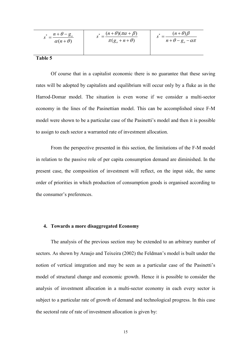| $s^* = \frac{n+\theta-g_o}{\sigma}$ | $* = \frac{(n+\theta)(\pi\alpha+\beta)}{n}$ | $(n+\theta)\beta$          |  |
|-------------------------------------|---------------------------------------------|----------------------------|--|
| $\alpha(n+\theta)$                  | $\pi(g_{\rho}+n+\theta)$                    | $n+\theta-g_{o}-\alpha\pi$ |  |
|                                     |                                             |                            |  |

Of course that in a capitalist economic there is no guarantee that these saving rates will be adopted by capitalists and equilibrium will occur only by a fluke as in the Harrod-Domar model. The situation is even worse if we consider a multi-sector economy in the lines of the Pasinettian model. This can be accomplished since F-M model were shown to be a particular case of the Pasinetti's model and then it is possible to assign to each sector a warranted rate of investment allocation.

From the perspective presented in this section, the limitations of the F-M model in relation to the passive role of per capita consumption demand are diminished. In the present case, the composition of investment will reflect, on the input side, the same order of priorities in which production of consumption goods is organised according to the consumer's preferences.

#### 4. Towards a more disaggregated Economy

The analysis of the previous section may be extended to an arbitrary number of sectors. As shown by Araujo and Teixeira (2002) the Feldman's model is built under the notion of vertical integration and may be seen as a particular case of the Pasinetti's model of structural change and economic growth. Hence it is possible to consider the analysis of investment allocation in a multi-sector economy in each every sector is subject to a particular rate of growth of demand and technological progress. In this case the sectoral rate of rate of investment allocation is given by: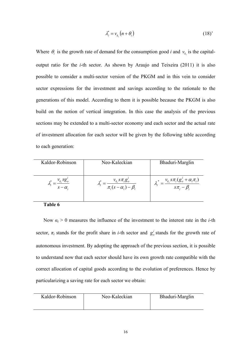$$
\lambda_i^* = \nu_{k_i} (n + \theta_i) \tag{18'}
$$

Where  $\theta_i$  is the growth rate of demand for the consumption good *i* and  $v_{k_i}$  is the capitaloutput ratio for the *i*-th sector. As shown by Araujo and Teixeira (2011) it is also possible to consider a multi-sector version of the PKGM and in this vein to consider sector expressions for the investment and savings according to the rationale to the generations of this model. According to them it is possible because the PKGM is also build on the notion of vertical integration. In this case the analysis of the previous sections may be extended to a multi-sector economy and each sector and the actual rate of investment allocation for each sector will be given by the following table according to each generation:

| Kaldor-Robinson | Neo-Kaleckian                                                               | Bhaduri-Marglin                                                                    |
|-----------------|-----------------------------------------------------------------------------|------------------------------------------------------------------------------------|
| $s - \alpha_i$  | $\lambda_i^* = \frac{v_{k_i} s \pi_i g_o'}{\pi_i (s - \alpha_i) - \beta_i}$ | $\lambda_i^* = \frac{v_{k_i} s \pi_i (g_o^i + \alpha_i \pi_i)}{s \pi_i - \beta_i}$ |
| Table 6         |                                                                             |                                                                                    |

Now  $\alpha_i > 0$  measures the influence of the investment to the interest rate in the *i*-th sector,  $\pi_i$  stands for the profit share in *i*-th sector and  $g_o^i$  stands for the growth rate of autonomous investment. By adopting the approach of the previous section, it is possible to understand now that each sector should have its own growth rate compatible with the correct allocation of capital goods according to the evolution of preferences. Hence by particularizing a saving rate for each sector we obtain:

| Neo-Kaleckian | Bhaduri-Marglin |
|---------------|-----------------|
|               |                 |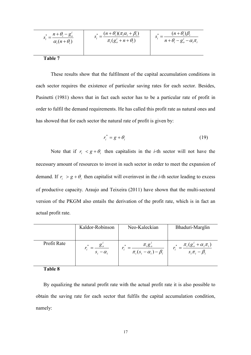$$
s_i^* = \frac{n + \theta_i - g_o^i}{\alpha_i (n + \theta_i)}
$$
\n
$$
s_i^* = \frac{(n + \theta_i)(\pi_i \alpha_i + \beta_i)}{\pi_i (g_o^i + n + \theta_i)}
$$
\n
$$
s_i^* = \frac{(n + \theta_i)\beta_i}{n + \theta_i - g_o^i - \alpha_i \pi_i}
$$

These results show that the fulfilment of the capital accumulation conditions in each sector requires the existence of particular saving rates for each sector. Besides, Pasinetti (1981) shows that in fact each sector has to be a particular rate of profit in order to fulfil the demand requirements. He has called this profit rate as natural ones and has showed that for each sector the natural rate of profit is given by:

$$
r_i^* = g + \theta_i \tag{19}
$$

Note that if  $r_i < g + \theta_i$  then capitalists in the *i*-th sector will not have the necessary amount of resources to invest in such sector in order to meet the expansion of demand. If  $r_i > g + \theta_i$  then capitalist will overrinvest in the *i*-th sector leading to excess of productive capacity. Araujo and Teixeira (2011) have shown that the multi-sectoral version of the PKGM also entails the derivation of the profit rate, which is in fact an actual profit rate.

|             | Kaldor-Robinson  | Neo-Kaleckian                                       | Bhaduri-Marglin                                          |
|-------------|------------------|-----------------------------------------------------|----------------------------------------------------------|
| Profit Rate | $S_i - \alpha_i$ | $\pi_{i}g_{o}^{i}$<br>$\pi_i(s_i-\alpha_i)-\beta_i$ | $\pi_i(g_o^i + \alpha_i \pi_i)$<br>$S_i \pi_i - \beta_i$ |

Table 8

By equalizing the natural profit rate with the actual profit rate it is also possible to obtain the saving rate for each sector that fulfils the capital accumulation condition, namely: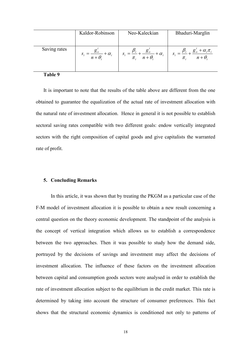|              | Kaldor-Robinson                                                | Neo-Kaleckian                                                                    | Bhaduri-Marglin                                                       |
|--------------|----------------------------------------------------------------|----------------------------------------------------------------------------------|-----------------------------------------------------------------------|
| Saving rates | $g_{\rho}$<br>$S_i = \frac{S \delta}{n + \theta_i} + \alpha_i$ | $g'_{o}$<br>$+\alpha_i$<br>$S_i = \frac{n}{\pi_i} + \frac{\sigma}{n + \theta_i}$ | $g'_i + \alpha_i \pi_i$<br>$\overline{n+\theta_i}$<br>$\frac{1}{\pi}$ |

It is important to note that the results of the table above are different from the one obtained to guarantee the equalization of the actual rate of investment allocation with the natural rate of investment allocation. Hence in general it is not possible to establish sectoral saving rates compatible with two different goals: endow vertically integrated sectors with the right composition of capital goods and give capitalists the warranted rate of profit.

#### 5. Concluding Remarks

In this article, it was shown that by treating the PKGM as a particular case of the F-M model of investment allocation it is possible to obtain a new result concerning a central question on the theory economic development. The standpoint of the analysis is the concept of vertical integration which allows us to establish a correspondence between the two approaches. Then it was possible to study how the demand side, portrayed by the decisions of savings and investment may affect the decisions of investment allocation. The influence of these factors on the investment allocation between capital and consumption goods sectors were analysed in order to establish the rate of investment allocation subject to the equilibrium in the credit market. This rate is determined by taking into account the structure of consumer preferences. This fact shows that the structural economic dynamics is conditioned not only to patterns of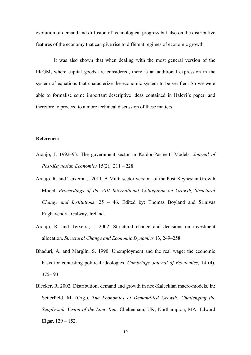evolution of demand and diffusion of technological progress but also on the distributive features of the economy that can give rise to different regimes of economic growth.

It was also shown that when dealing with the most general version of the PKGM, where capital goods are considered, there is an additional expression in the system of equations that characterize the economic system to be verified. So we were able to formalise some important descriptive ideas contained in Halevi's paper, and therefore to proceed to a more technical discussion of these matters.

#### **References**

- Araujo, J. 1992–93. The government sector in Kaldor-Pasinetti Models. Journal of Post-Keynesian Economics 15(2),  $211 - 228$ .
- Araujo, R. and Teixeira, J. 2011. A Multi-sector version of the Post-Keynesian Growth Model. Proceedings of the VIII International Colloquium on Growth, Structural *Change and Institutions*,  $25 - 46$ . Edited by: Thomas Boyland and Srinivas Raghavendra. Galway, Ireland.
- Araujo, R. and Teixeira, J. 2002. Structural change and decisions on investment allocation. Structural Change and Economic Dynamics 13, 249–258.
- Bhaduri, A. and Marglin, S. 1990. Unemployment and the real wage: the economic basis for contesting political ideologies. Cambridge Journal of Economics, 14 (4),  $375 - 93$ .
- Blecker, R. 2002. Distribution, demand and growth in neo-Kaleckian macro-models. In: Setterfield, M. (Org.). The Economics of Demand-led Growth: Challenging the Supply-side Vision of the Long Run. Cheltenham, UK; Northampton, MA: Edward Elgar,  $129 - 152$ .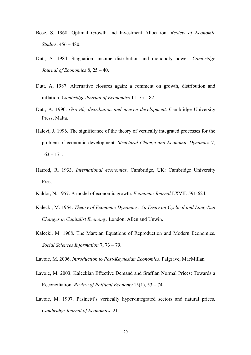- Bose, S. 1968. Optimal Growth and Investment Allocation. Review of Economic *Studies*, 456 – 480.
- Dutt, A. 1984. Stagnation, income distribution and monopoly power. Cambridge Journal of Economics  $8, 25 - 40$ .
- Dutt. A. 1987. Alternative closures again: a comment on growth, distribution and inflation. Cambridge Journal of Economics 11,  $75 - 82$ .
- Dutt, A. 1990. Growth, distribution and uneven development. Cambridge University Press, Malta.
- Halevi, J. 1996. The significance of the theory of vertically integrated processes for the problem of economic development. Structural Change and Economic Dynamics 7,  $163 - 171$ .
- Harrod, R. 1933. International economics. Cambridge, UK: Cambridge University Press.
- Kaldor, N. 1957. A model of economic growth. *Economic Journal* LXVII: 591-624.
- Kalecki, M. 1954. Theory of Economic Dynamics: An Essay on Cyclical and Long-Run Changes in Capitalist Economy. London: Allen and Unwin.
- Kalecki, M. 1968. The Marxian Equations of Reproduction and Modern Economics. Social Sciences Information 7, 73 – 79.
- Lavoie, M. 2006. *Introduction to Post-Keynesian Economics*. Palgrave, MacMillan.
- Lavoie, M. 2003. Kaleckian Effective Demand and Sraffian Normal Prices: Towards a Reconciliation. Review of Political Economy 15(1),  $53 - 74$ .
- Lavoie, M. 1997. Pasinetti's vertically hyper-integrated sectors and natural prices. Cambridge Journal of Economics, 21.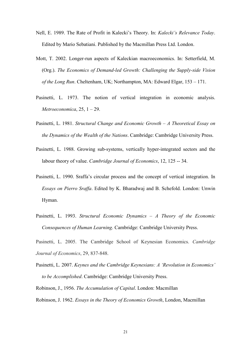- Nell, E. 1989. The Rate of Profit in Kalecki's Theory. In: Kalecki's Relevance Today. Edited by Mario Sebatiani. Published by the Macmillan Press Ltd. London.
- Mott, T. 2002. Longer-run aspects of Kaleckian macroeconomics. In: Setterfield, M. (Org.). The Economics of Demand-led Growth: Challenging the Supply-side Vision of the Long Run. Cheltenham, UK; Northampton, MA: Edward Elgar, 153 - 171.
- Pasinetti, L. 1973. The notion of vertical integration in economic analysis. Metroeconomica,  $25, 1-29$ .
- Pasinetti, L. 1981. Structural Change and Economic Growth  $-A$  Theoretical Essay on the Dynamics of the Wealth of the Nations. Cambridge: Cambridge University Press.
- Pasinetti, L. 1988. Growing sub-systems, vertically hyper-integrated sectors and the labour theory of value. Cambridge Journal of Economics, 12, 125 -- 34.
- Pasinetti, L. 1990. Sraffa's circular process and the concept of vertical integration. In Essays on Pierro Sraffa. Edited by K. Bharadwaj and B. Schefold. London: Unwin Hyman.
- Pasinetti, L. 1993. Structural Economic Dynamics  $-A$  Theory of the Economic Consequences of Human Learning. Cambridge: Cambridge University Press.
- Pasinetti, L. 2005. The Cambridge School of Keynesian Economics. Cambridge Journal of Economics, 29, 837-848.
- Pasinetti, L. 2007. Keynes and the Cambridge Keynesians: A 'Revolution in Economics' to be Accomplished. Cambridge: Cambridge University Press.
- Robinson, J., 1956. The Accumulation of Capital. London: Macmillan
- Robinson, J. 1962. Essays in the Theory of Economics Growth, London, Macmillan